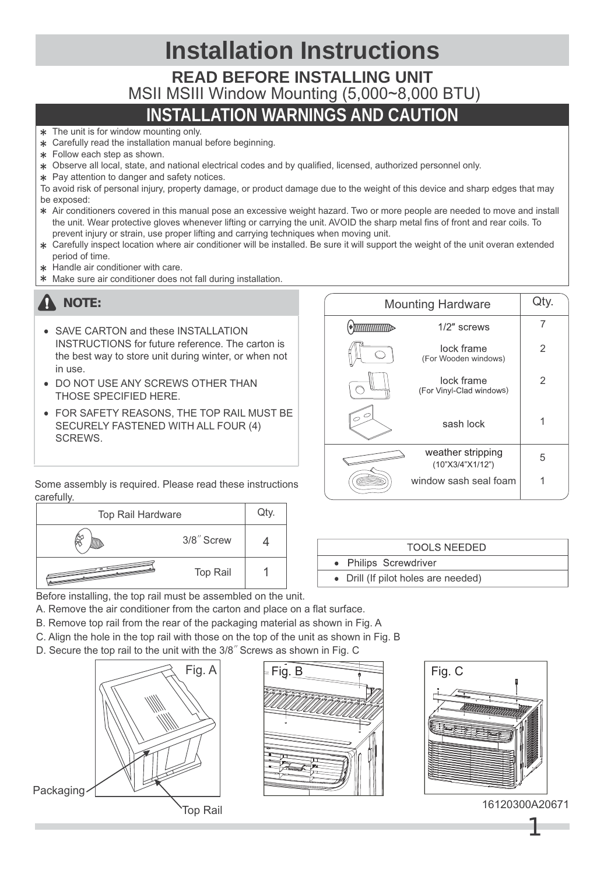| <b>Installation Instructions</b>             |
|----------------------------------------------|
| <b>READ BEFORE INSTALLING UNIT</b>           |
| MSII MSIII Window Mounting (5,000~8,000 BTU) |
| <b>INSTALLATION WARNINGS AND CAUTION</b>     |

- \* The unit is for window mounting only.
- Carefully read the installation manual before beginning.
- \* Follow each step as shown.
- Observe all local, state, and national electrical codes and by qualified, licensed, authorized personnel only.
- \* Pay attention to danger and safety notices.

To avoid risk of personal injury, property damage, or product damage due to the weight of this device and sharp edges that may be exposed:

- Air conditioners covered in this manual pose an excessive weight hazard. Two or more people are needed to move and install the unit. Wear protective gloves whenever lifting or carrying the unit. AVOID the sharp metal fins of front and rear coils. To prevent injury or strain, use proper lifting and carrying techniques when moving unit.
- Carefully inspect location where air conditioner will be installed. Be sure it will support the weight of the unit overan extended period of time.
- Handle air conditioner with care.
- Make sure air conditioner does not fall during installation.

## **A** NOTE:

- **SAVE CARTON and these INSTALLATION** INSTRUCTIONS for future reference. The carton is the best way to store unit during winter, or when not in use.
- **DO NOT USE ANY SCREWS OTHER THAN** THOSE SPECIFIED HERE.
- FOR SAFETY REASONS, THE TOP RAIL MUST BE SECURELY FASTENED WITH ALL FOUR (4) SCREWS.

| <b>Mounting Hardware</b> |                                        | Qty. |
|--------------------------|----------------------------------------|------|
| <b>ATTITITITITITI</b>    | $1/2$ " screws                         |      |
|                          | lock frame<br>(For Wooden windows)     | 2    |
|                          | lock frame<br>(For Vinyl-Clad windows) | 2    |
|                          | sash lock                              |      |
|                          | weather stripping<br>(10"X3/4"X1/12")  | 5    |
|                          | window sash seal foam                  |      |

Some assembly is required. Please read these instructions carefully.

| Top Rail Hardware |                 | Qty. |
|-------------------|-----------------|------|
|                   | 3/8" Screw      |      |
|                   | <b>Top Rail</b> |      |

| TOOLS NEEDED |  |                                     |  |
|--------------|--|-------------------------------------|--|
|              |  | • Philips Screwdriver               |  |
|              |  | • Drill (If pilot holes are needed) |  |

Before installing, the top rail must be assembled on the unit.

A. Remove the air conditioner from the carton and place on a flat surface.

- B. Remove top rail from the rear of the packaging material as shown in Fig. A
- C. Align the hole in the top rail with those on the top of the unit as shown in Fig. B
- D. Secure the top rail to the unit with the 3/8″ Screws as shown in Fig. C







16120300A20671 Top Rail

1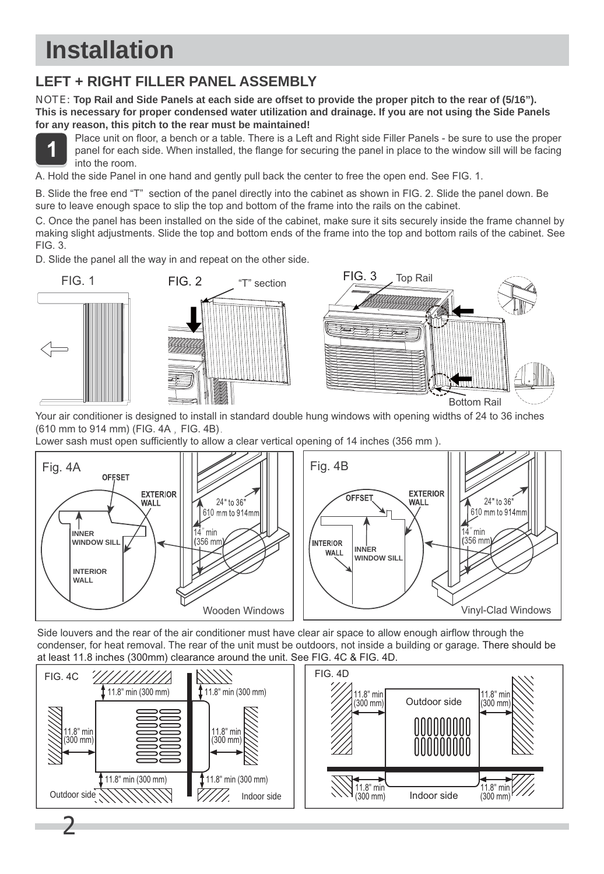# **How to Install Installation**

## **LEFT + RIGHT FILLER PANEL ASSEMBLY**

NOTE: **Top Rail and Side Panels at each side are offset to provide the proper pitch to the rear of (5/16"). This is necessary for proper condensed water utilization and drainage. If you are not using the Side Panels for any reason, this pitch to the rear must be maintained!**



 Place unit on floor, a bench or a table. There is a Left and Right side Filler Panels - be sure to use the proper panel for each side. When installed, the flange for securing the panel in place to the window sill will be facing into the room.

A. Hold the side Panel in one hand and gently pull back the center to free the open end. See FIG. 1.

B. Slide the free end "T" section of the panel directly into the cabinet as shown in FIG. 2. Slide the panel down. Be sure to leave enough space to slip the top and bottom of the frame into the rails on the cabinet.

C. Once the panel has been installed on the side of the cabinet, make sure it sits securely inside the frame channel by making slight adjustments. Slide the top and bottom ends of the frame into the top and bottom rails of the cabinet. See FIG. 3.

D. Slide the panel all the way in and repeat on the other side.



Your air conditioner is designed to install in standard double hung windows with opening widths of 24 to 36 inches (610 mm to 914 mm) (FIG. 4A, FIG. 4B).

Lower sash must open sufficiently to allow a clear vertical opening of 14 inches (356 mm ).



Side louvers and the rear of the air conditioner must have clear air space to allow enough airflow through the condenser, for heat removal. The rear of the unit must be outdoors, not inside a building or garage. There should be at least 11.8 inches (300mm) clearance around the unit. See FIG. 4C & FIG. 4D.



 $\overline{\phantom{a}}$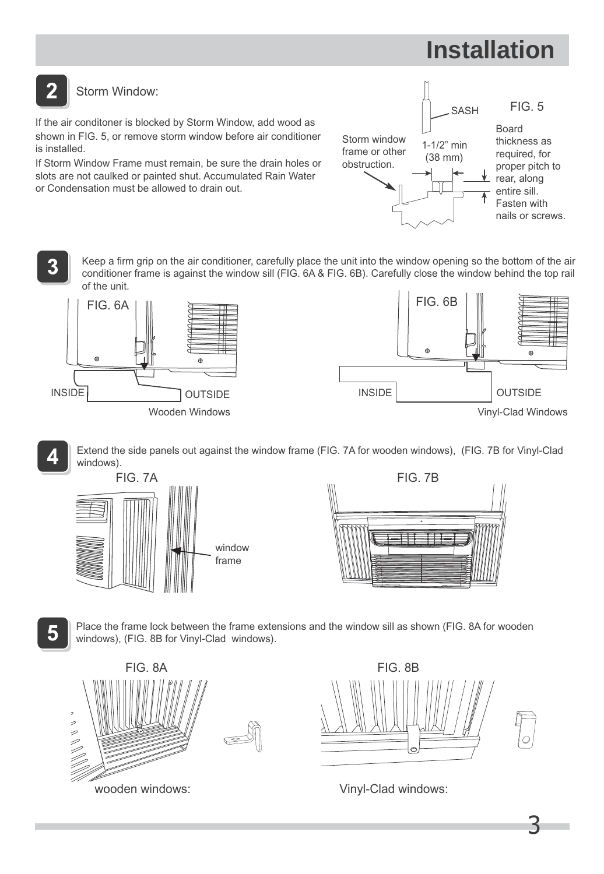# **How to Install Installation**

#### $\overline{2}$ Storm Window:

If the air conditoner is blocked by Storm Window, add wood as shown in FIG. 5, or remove storm window before air conditioner is installed.

If Storm Window Frame must remain, be sure the drain holes or slots are not caulked or painted shut. Accumulated Rain Water or Condensation must be allowed to drain out.



Keep a firm grip on the air conditioner, carefully place the unit into the window opening so the bottom of the air conditioner frame is against the window sill (FIG. 6A & FIG. 6B). Carefully close the window behind the top rail of the unit.





Extend the side panels out against the window frame (FIG. 7A for wooden windows), (FIG. 7B for Vinyl-Clad windows).





5

3

Place the frame lock between the frame extensions and the window sill as shown (FIG. 8A for wooden windows), (FIG. 8B for Vinyl-Clad windows).





3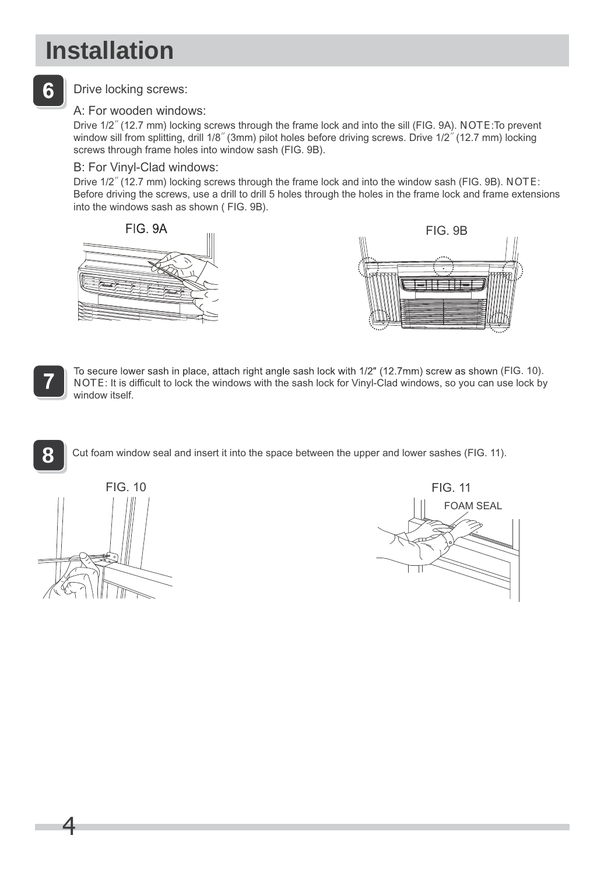# **Installation**

## 6

### Drive locking screws:

### A: For wooden windows:

Drive 1/2″ (12.7 mm) locking screws through the frame lock and into the sill (FIG. 9A). NOTE:To prevent window sill from splitting, drill 1/8" (3mm) pilot holes before driving screws. Drive 1/2" (12.7 mm) locking screws through frame holes into window sash (FIG. 9B).

### B: For Vinyl-Clad windows:

Drive 1/2″ (12.7 mm) locking screws through the frame lock and into the window sash (FIG. 9B). NOTE: Before driving the screws, use a drill to drill 5 holes through the holes in the frame lock and frame extensions into the windows sash as shown ( FIG. 9B).





**8**

NOTE: It is difficult to lock the windows with the sash lock for Vinyl-Clad windows, so you can use lock by To secure lower sash in place, attach right angle sash lock with 1/2" (12.7mm) screw as shown (FIG. 10). window itself.

Cut foam window seal and insert it into the space between the upper and lower sashes (FIG. 11).



4